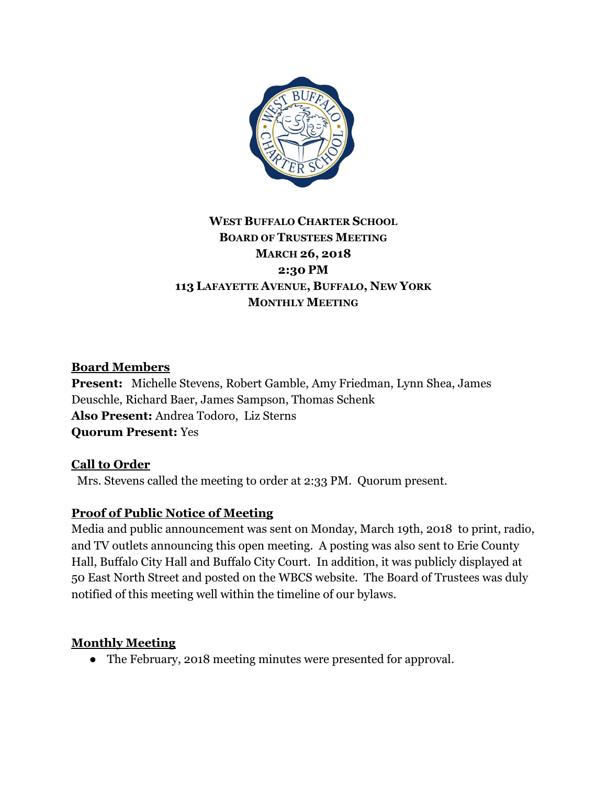

# **WEST BUFFALO CHARTER SCHOOL BOARD OF TRUSTEES MEETING MARCH 26, 2018 2:30 PM 113 LAFAYETTE AVENUE, BUFFALO, NEW YORK MONTHLY MEETING**

## **Board Members**

**Present:** Michelle Stevens, Robert Gamble, Amy Friedman, Lynn Shea, James Deuschle, Richard Baer, James Sampson, Thomas Schenk **Also Present:** Andrea Todoro, Liz Sterns **Quorum Present:** Yes

## **Call to Order**

Mrs. Stevens called the meeting to order at 2:33 PM. Quorum present.

## **Proof of Public Notice of Meeting**

Media and public announcement was sent on Monday, March 19th, 2018 to print, radio, and TV outlets announcing this open meeting. A posting was also sent to Erie County Hall, Buffalo City Hall and Buffalo City Court. In addition, it was publicly displayed at 50 East North Street and posted on the WBCS website. The Board of Trustees was duly notified of this meeting well within the timeline of our bylaws.

## **Monthly Meeting**

● The February, 2018 meeting minutes were presented for approval.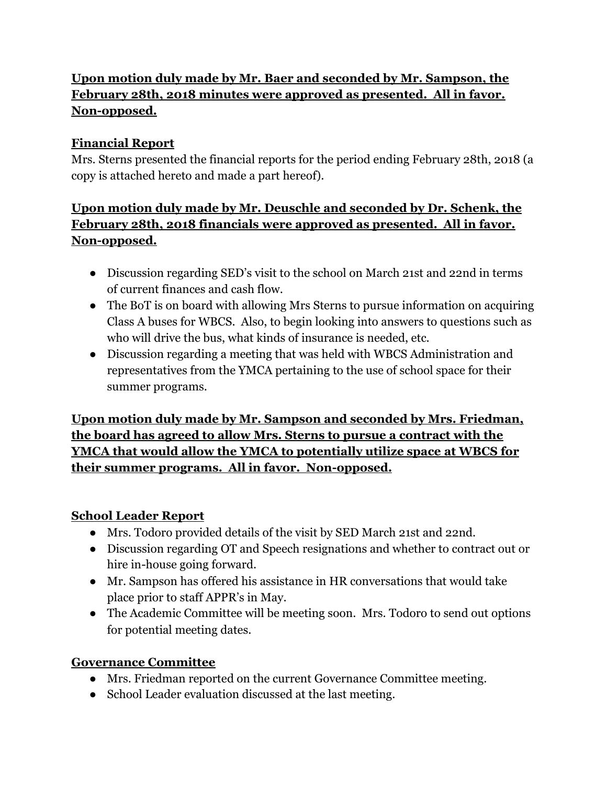# **Upon motion duly made by Mr. Baer and seconded by Mr. Sampson, the February 28th, 2018 minutes were approved as presented. All in favor. Non-opposed.**

## **Financial Report**

Mrs. Sterns presented the financial reports for the period ending February 28th, 2018 (a copy is attached hereto and made a part hereof).

# **Upon motion duly made by Mr. Deuschle and seconded by Dr. Schenk, the February 28th, 2018 financials were approved as presented. All in favor. Non-opposed.**

- Discussion regarding SED's visit to the school on March 21st and 22nd in terms of current finances and cash flow.
- The BoT is on board with allowing Mrs Sterns to pursue information on acquiring Class A buses for WBCS. Also, to begin looking into answers to questions such as who will drive the bus, what kinds of insurance is needed, etc.
- Discussion regarding a meeting that was held with WBCS Administration and representatives from the YMCA pertaining to the use of school space for their summer programs.

**Upon motion duly made by Mr. Sampson and seconded by Mrs. Friedman, the board has agreed to allow Mrs. Sterns to pursue a contract with the YMCA that would allow the YMCA to potentially utilize space at WBCS for their summer programs. All in favor. Non-opposed.**

## **School Leader Report**

- Mrs. Todoro provided details of the visit by SED March 21st and 22nd.
- Discussion regarding OT and Speech resignations and whether to contract out or hire in-house going forward.
- Mr. Sampson has offered his assistance in HR conversations that would take place prior to staff APPR's in May.
- The Academic Committee will be meeting soon. Mrs. Todoro to send out options for potential meeting dates.

# **Governance Committee**

- Mrs. Friedman reported on the current Governance Committee meeting.
- School Leader evaluation discussed at the last meeting.